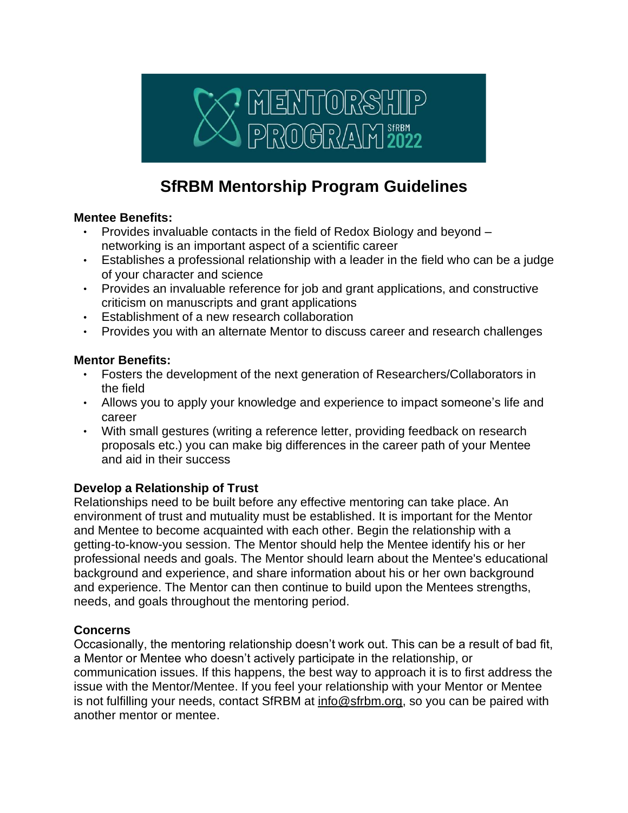

# **SfRBM Mentorship Program Guidelines**

#### **Mentee Benefits:**

- Provides invaluable contacts in the field of Redox Biology and beyond networking is an important aspect of a scientific career
- Establishes a professional relationship with a leader in the field who can be a judge of your character and science
- Provides an invaluable reference for job and grant applications, and constructive criticism on manuscripts and grant applications
- Establishment of a new research collaboration
- Provides you with an alternate Mentor to discuss career and research challenges

#### **Mentor Benefits:**

- Fosters the development of the next generation of Researchers/Collaborators in the field
- Allows you to apply your knowledge and experience to impact someone's life and career
- With small gestures (writing a reference letter, providing feedback on research proposals etc.) you can make big differences in the career path of your Mentee and aid in their success

## **Develop a Relationship of Trust**

Relationships need to be built before any effective mentoring can take place. An environment of trust and mutuality must be established. It is important for the Mentor and Mentee to become acquainted with each other. Begin the relationship with a getting-to-know-you session. The Mentor should help the Mentee identify his or her professional needs and goals. The Mentor should learn about the Mentee's educational background and experience, and share information about his or her own background and experience. The Mentor can then continue to build upon the Mentees strengths, needs, and goals throughout the mentoring period.

## **Concerns**

Occasionally, the mentoring relationship doesn't work out. This can be a result of bad fit, a Mentor or Mentee who doesn't actively participate in the relationship, or communication issues. If this happens, the best way to approach it is to first address the issue with the Mentor/Mentee. If you feel your relationship with your Mentor or Mentee is not fulfilling your needs, contact SfRBM at info@sfrbm.org, so you can be paired with another mentor or mentee.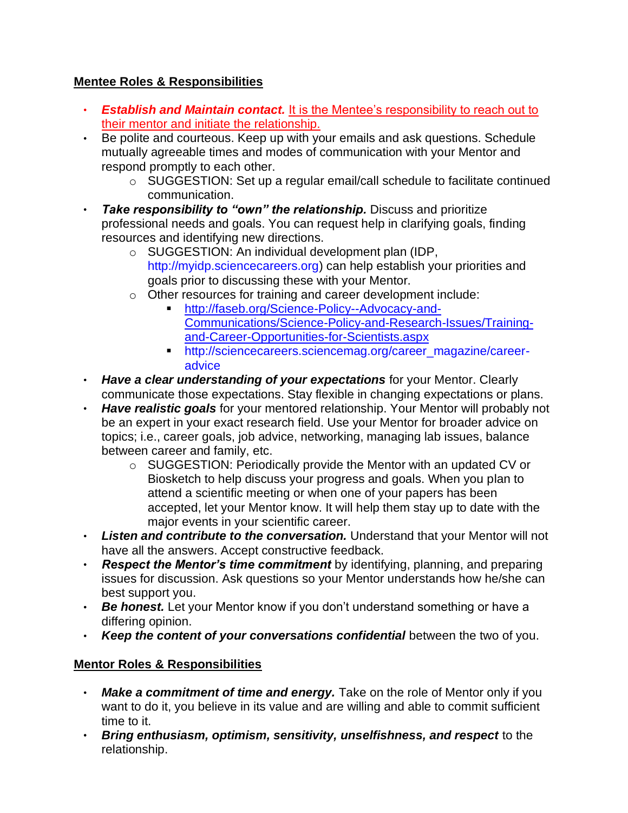## **Mentee Roles & Responsibilities**

- *Establish and Maintain contact.* It is the Mentee's responsibility to reach out to their mentor and initiate the relationship.
- Be polite and courteous. Keep up with your emails and ask questions. Schedule mutually agreeable times and modes of communication with your Mentor and respond promptly to each other.
	- o SUGGESTION: Set up a regular email/call schedule to facilitate continued communication.
- *Take responsibility to "own" the relationship.* Discuss and prioritize professional needs and goals. You can request help in clarifying goals, finding resources and identifying new directions.
	- o SUGGESTION: An individual development plan (IDP, http://myidp.sciencecareers.org) can help establish your priorities and goals prior to discussing these with your Mentor.
	- o Other resources for training and career development include:
		- **Intreeffully** [http://faseb.org/Science-Policy--Advocacy-and-](http://faseb.org/Science-Policy--Advocacy-and-Communications/Science-Policy-and-Research-Issues/Training-and-Career-Opportunities-for-Scientists.aspx)[Communications/Science-Policy-and-Research-Issues/Training](http://faseb.org/Science-Policy--Advocacy-and-Communications/Science-Policy-and-Research-Issues/Training-and-Career-Opportunities-for-Scientists.aspx)[and-Career-Opportunities-for-Scientists.aspx](http://faseb.org/Science-Policy--Advocacy-and-Communications/Science-Policy-and-Research-Issues/Training-and-Career-Opportunities-for-Scientists.aspx)
		- http://sciencecareers.sciencemag.org/career\_magazine/careeradvice
- **Have a clear understanding of your expectations** for your Mentor. Clearly communicate those expectations. Stay flexible in changing expectations or plans.
- *Have realistic goals* for your mentored relationship. Your Mentor will probably not be an expert in your exact research field. Use your Mentor for broader advice on topics; i.e., career goals, job advice, networking, managing lab issues, balance between career and family, etc.
	- o SUGGESTION: Periodically provide the Mentor with an updated CV or Biosketch to help discuss your progress and goals. When you plan to attend a scientific meeting or when one of your papers has been accepted, let your Mentor know. It will help them stay up to date with the major events in your scientific career.
- *Listen and contribute to the conversation.* Understand that your Mentor will not have all the answers. Accept constructive feedback.
- *Respect the Mentor's time commitment* by identifying, planning, and preparing issues for discussion. Ask questions so your Mentor understands how he/she can best support you.
- *Be honest.* Let your Mentor know if you don't understand something or have a differing opinion.
- *Keep the content of your conversations confidential* between the two of you.

# **Mentor Roles & Responsibilities**

- *Make a commitment of time and energy.* Take on the role of Mentor only if you want to do it, you believe in its value and are willing and able to commit sufficient time to it.
- *Bring enthusiasm, optimism, sensitivity, unselfishness, and respect* to the relationship.